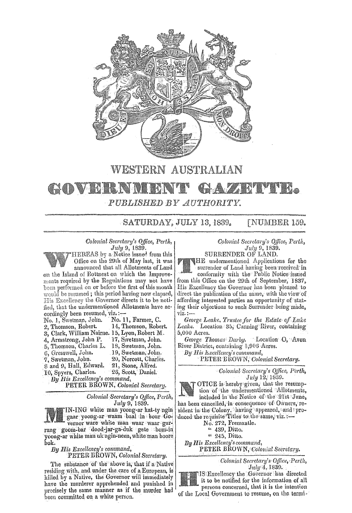

WESTERN AUSTRALIAN

## **CHON DRANN DI 9. A** 2

PUBLISHED BY AUTHORITY.

SATURDAY, JULY 13, 1839. FNUMBER 159.

Colonial Secretary's Office, Perth, July 9, 1839.

HEREAS by a Notice issued from this Office on the 29th of May last, it was announced that all Allotments of Land on the Island of Rottnest on which the Improvements required by the Regulations may not have been performed on or before the first of this month would be resumed; this period having now elapsed, His Excellency the Governor directs it to be noti-

fied, that the undermentioned Allotments have accordingly been resumed, viz.:-No. 1, Swetman, John. No. 11, Farmer, C.

|                                                                                                                                          | 2, Thomson, Robert.       | 14, Thomson, Robert.  |
|------------------------------------------------------------------------------------------------------------------------------------------|---------------------------|-----------------------|
|                                                                                                                                          | 3, Clark, William Nairne. | 15, Lyon, Robert M.   |
|                                                                                                                                          | 4, Armstrong, John P.     | 17, Swetman, John.    |
|                                                                                                                                          | 5, Thomson, Charles L.    | 18, Swetman, John.    |
|                                                                                                                                          | 6. Gresswell, John.       | 19, Swetman, John.    |
|                                                                                                                                          | 7. Swetman, John.         | 20, Norcott, Charles. |
|                                                                                                                                          | 8 and 9, Hall, Edward.    | 21, Stone, Alfred.    |
|                                                                                                                                          | 10, Spyers, Charles.      | 26, Scott, Daniel.    |
| and the model of the control of the control of the control of the control of the control of the control of the<br>الآراء ومناوره وودودها |                           |                       |

By His Excellency's command,

PETER BROWN, Colonial Secretary.

Colonial Secretary's Office, Perth, July 9, 1839.

IN-ING white man yoong-ar kat-ty-ngin gaar yoong-ar waam baal in bour Gorang goom-bar dood-jar-ga-duk gete bom-in yoong-ar white man uk ngin-neen, white man boore bok.

By His Excellency's command,

PETER BROWN, Colonial Secretary.

The substance of the above is, that if a Native residing with, and under the care of a European, is killed by a Native, the Governor will immediately have the murderer apprehended and punished in precisely the same manner as if the murder had been committed on a white person.

Colonial Secretary's Office, Perth, July 9, 1839.

SURRENDER OF LAND. THE undermentioned Applications for the surrender of Land having been received in conformity with the Public Notice issued from this Office on the 29th of September, 1837, His Excellency the Governor has been pleased to direct the publication of the same, with the view of affording interested parties an opportunity of stating their objections to such Surrender being made, viz. :-

George Leake, Trustee for the Estate of Lake Leake. Location 35, Canning River, containing 5,000 Acres.

George Thomas Darby. Location O, Avon River District, containing 1,006 Acres.

By His Excellency's command,

PETER BROWN, Colonial Secretary.

Colonial Secretary's Office, Perth,  $July 12, 1839.$ 

OTICE is hereby given, that the resumption of the undermentioned Allotments, included in the Notice of the 21st June, has been cancelled, in consequence of Owners, re-

sident in the Colony, having appeared, and approduced the requisite Titles to the same, viz.

- 
- " 245, Ditto.

By His Excellency's command, PETER BROWN, Colonial Secretary.

> Colonial Secretary's Office, Perth,  $July 4, 1839.$

IS'Excellency the Governor has directed it to be notified for the information of all persons concerned, that it is the intention of the Local Government to resume, on the termi-